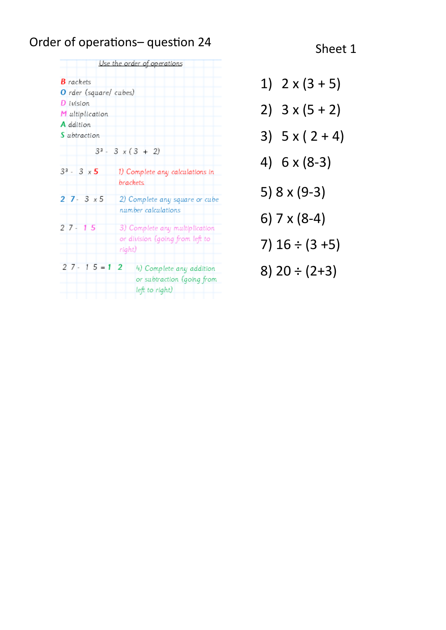# Order of operations-question 24 Sheet 1

|                        | Use the order of operations     |
|------------------------|---------------------------------|
| <b>B</b> rackets       |                                 |
| O rder (square/ cubes) |                                 |
| D ivision              |                                 |
| M ultiplication        |                                 |
| A ddition              |                                 |
| S ubtraction           |                                 |
|                        | $3^3 - 3 \times (3 + 2)$        |
| $3^3 - 3 \times 5$     | 1) Complete any calculations in |
|                        | brackets                        |
| $27 - 3x5$             | 2) Complete any square or cube  |
|                        | number calculations             |
| $27 - 15$              | 3) Complete any multiplication  |
|                        | or division (going from left to |
|                        | right)                          |
|                        |                                 |
| $27 - 15 = 12$         | 4) Complete any addition        |
|                        | or subtraction (going from      |
|                        | left to right)                  |

1)  $2 \times (3 + 5)$ 2)  $3 \times (5 + 2)$ 3)  $5 \times (2 + 4)$ 4) 6 x (8-3) 5) 8 x (9-3) 6) 7 x (8-4) 7)  $16 \div (3 + 5)$ 8)  $20 \div (2+3)$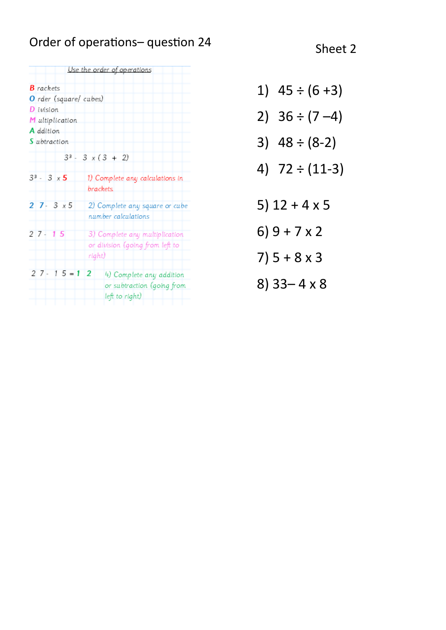# Order of operations– question 24 Sheet 2

|                        | <u>Use the order of operations</u>                                          |
|------------------------|-----------------------------------------------------------------------------|
| $B$ rackets            |                                                                             |
| O rder (square/ cubes) |                                                                             |
| D ivision              |                                                                             |
| M ultiplication        |                                                                             |
| A ddition              |                                                                             |
| S ubtraction           |                                                                             |
|                        | $3^3 - 3x(3 + 2)$                                                           |
| $3^3 - 3 \times 5$     | 1) Complete any calculations in<br>brackets                                 |
| $27 - 3x5$             | 2) Complete any square or cube<br>number calculations                       |
| $27 - 15$              | 3) Complete any multiplication<br>or division (going from left to<br>right) |
| $27 - 15 = 12$         | 4) Complete any addition<br>or subtraction (going from<br>left to right)    |

- 1)  $45 \div (6 + 3)$
- 2)  $36 \div (7 4)$
- 3)  $48 \div (8-2)$
- 4) 72 ÷ (11-3)
- 5) 12 + 4 x 5
- 6) 9 + 7 x 2
- 7)  $5 + 8 \times 3$
- 8) 33– 4 x 8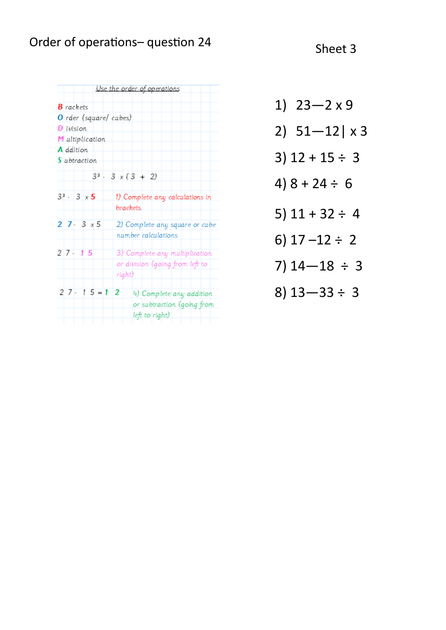# Order of operations– question 24 Sheet 3

| Use the order of operations |                                           |  |  |
|-----------------------------|-------------------------------------------|--|--|
| <b>B</b> rackets            |                                           |  |  |
| O rder (square/ cubes)      |                                           |  |  |
| D ivision                   |                                           |  |  |
| M ultiplication             |                                           |  |  |
| A ddition                   |                                           |  |  |
| S ubtraction                |                                           |  |  |
| $3^3 - 3 \times (3 + 2)$    |                                           |  |  |
|                             |                                           |  |  |
| $3^3 - 3 \times 5$          | 1) Complete any calculations in           |  |  |
|                             | brackets                                  |  |  |
| $27 - 3x5$                  | 2) Complete any square or cube            |  |  |
|                             | number calculations                       |  |  |
| $27 - 15$                   | 3) Complete any multiplication            |  |  |
|                             |                                           |  |  |
|                             |                                           |  |  |
|                             |                                           |  |  |
| $27 - 15 = 12$              | 4) Complete any addition                  |  |  |
|                             | or subtraction (going from                |  |  |
|                             | left to right)                            |  |  |
|                             | or division (going from left to<br>right) |  |  |

| 1) $23 - 2 \times 9$    |
|-------------------------|
| 2) $51 - 12$ x 3        |
| $3)$ 12 + 15 ÷ 3        |
| $4) 8 + 24 \div 6$      |
| 5) $11 + 32 \div 4$     |
| 6) $17 - 12 \div 2$     |
| $7)$ 14 $-18 \div 3$    |
| $8)$ 13 $-$ 33 $\div$ 3 |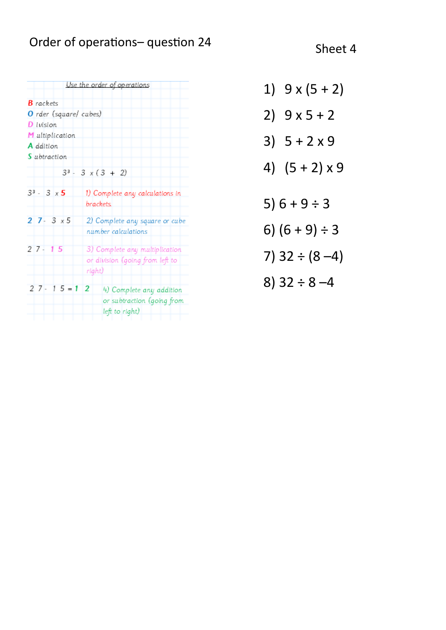# Order of operations– question 24 Sheet 4

|                        | Use the order of operations                                                 |
|------------------------|-----------------------------------------------------------------------------|
| <b>B</b> rackets       |                                                                             |
| O rder (square/ cubes) |                                                                             |
| D ivision              |                                                                             |
| M ultiplication        |                                                                             |
| A ddition              |                                                                             |
| S ubtraction           |                                                                             |
|                        | $3^3 - 3 \times (3 + 2)$                                                    |
| $3^3 - 3 \times 5$     | 1) Complete any calculations in<br>brackets                                 |
| $27 - 3x5$             | 2) Complete any square or cube<br>number calculations                       |
| $27 - 15$              | 3) Complete any multiplication<br>or division (going from left to<br>right) |
| $27 - 15 = 12$         | 4) Complete any addition<br>or subtraction (going from<br>left to right)    |

- 1)  $9 \times (5 + 2)$ 2)  $9 \times 5 + 2$ 3)  $5 + 2 \times 9$ 4)  $(5 + 2) \times 9$ 5)  $6 + 9 \div 3$ 6)  $(6 + 9) \div 3$
- 7)  $32 \div (8 4)$
- 8)  $32 \div 8 4$